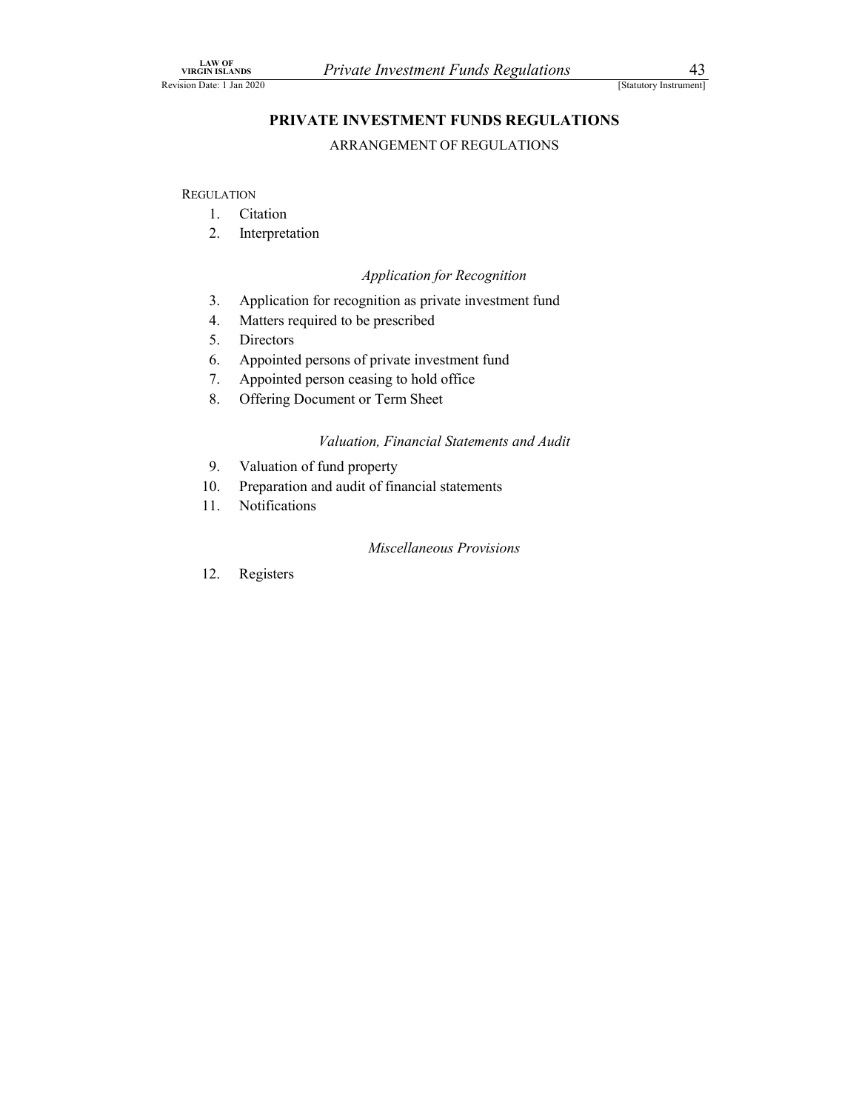# PRIVATE INVESTMENT FUNDS REGULATIONS Private Investment Funds Regulations<br>
[Statutory Instrument]<br> **E INVESTMENT FUNDS REGULATIONS**<br>
ARRANGEMENT OF REGULATIONS NOTATION<br>
1. Citations<br>
1. Citation<br>
1. Citation<br>
1. Citation<br>
1. Citation<br>
1. Citation<br>
1. Citation<br>
1. Citation<br>
1. Citation<br>
1. Citation<br>
2. Interpretation<br>
2. Application for Recognition<br>
3. Application for recognition NETATION<br>
2. ISLANDS PRIVATE INVESTMENT FUNDS REGULATIONS<br>
2. ISLANDS ARRANGEMENT OF REGULATIONS<br>
2. Interpretation<br>
2. Interpretation<br>
2. Interpretation<br>
4. Matters required to be prescribed SEANDS Private Investment Funds Regulations 43<br>
3. ARRANGEMENT FUNDS REGULATIONS<br>
ARRANGEMENT OF REGULATIONS<br>
3. Application<br>
3. Application for recognition<br>
3. Application for recognition<br>
5. Directors<br>
6. Appointed perso **EXECUTE THE SET OF A SET ON THE PROPERTION SET OF A SET USE SET USE SET ON THE PROPERTIONS**<br> **PRIVATE INVESTMENT FUNDS REGULATIONS**<br> **PRIVATE INVESTMENT OF REGULATIONS**<br>
DATION<br>
1. Citation<br>
2. Interpretation<br>
4. Applica WE TANDIS SECULATIONS<br>
SISMANDS MEAN CHEFT INTERENT FUNDS REGULATIONS<br>
TERUVATE INVESTMENT FUNDS REGULATIONS<br>
ARRANGEMENT OF REGULATIONS<br>
JEATION<br>
1. Citation<br>
2. Interpretation<br>
Application for Recognition<br>
3. Application FINANDS PRIVATE INVESTMENT FUNDS REGULATIONS<br>  $\begin{array}{r}\n\text{Brautory}{\text{15}}\n\end{array}$ FRIVATE INVESTMENT FUNDS REGULATIONS<br>
ARRANGEMENT OF REGULATIONS<br>
1. Citation<br>
1. Citation<br>
2. Interpretation<br>
4. Application for recognition<br> **Private Investment Funds Regulations**<br> **PRIVATE INVESTMENT FUNDS REGULATIONS**<br> **PRIVATE INVESTMENT OF REGULATIONS**<br> **PRIVATE INVESTMENT OF REGULATIONS**<br>
1. Citation<br>
1. Citation<br>
2. Interpretation<br>
2. Application for rec EVALUATE INVESTMENT FUNDS REGULATIONS<br>
1981 19820<br> **PRIVATE INVESTMENT FUNDS REGULATIONS**<br>
1981 19820<br> **PRIVATE INVESTMENT OF REGULATIONS**<br>
1. Citation<br>
2. Interpretation<br>
2. Interpretation<br>
4. Application for recognition<br> **PRIVATE INVESTMENT FUNDS REGULATIONS**<br>
ARRANGEMENT OF REGULATIONS<br>
1. Citation<br>
2. Interpretation<br>
4. Application for recognition<br>
4. Matters required to be prescribed<br>
5. Directors<br>
6. Appointed persons of private invest

**REGULATION** 

- 
- 

# Application for Recognition

- 1 **EXAMPLE ENVESTEDENT PONDS REGOCENTIONS**<br>
1. Citation<br>
2. Interpretation<br>
2. Application for Recognition<br>
3. Application for recognition as private investment fund<br>
4. Matters required to be prescribed<br>
5. Directors<br>
6. ARRANGEMENT OF REGULATIONS<br>
1. Citation<br>
2. Interpretation<br>
2. Interpretation<br>
4. Matters required to be prescribed<br>
4. Matters required to be prescribed<br>
5. Directors<br>
6. Appointed persons of private investment fund<br>
7. A 1. Citation<br>
2. Interpretation<br>
2. Application for recognition as private investment fund<br>
4. Matters required to be prescribed<br>
5. Directors<br>
6. Appointed persons of private investment fund<br>
7. Appointed persons of privat
- 
- 
- 
- 
- 

# Valuation, Financial Statements and Audit

- 
- 
- 

# Miscellaneous Provisions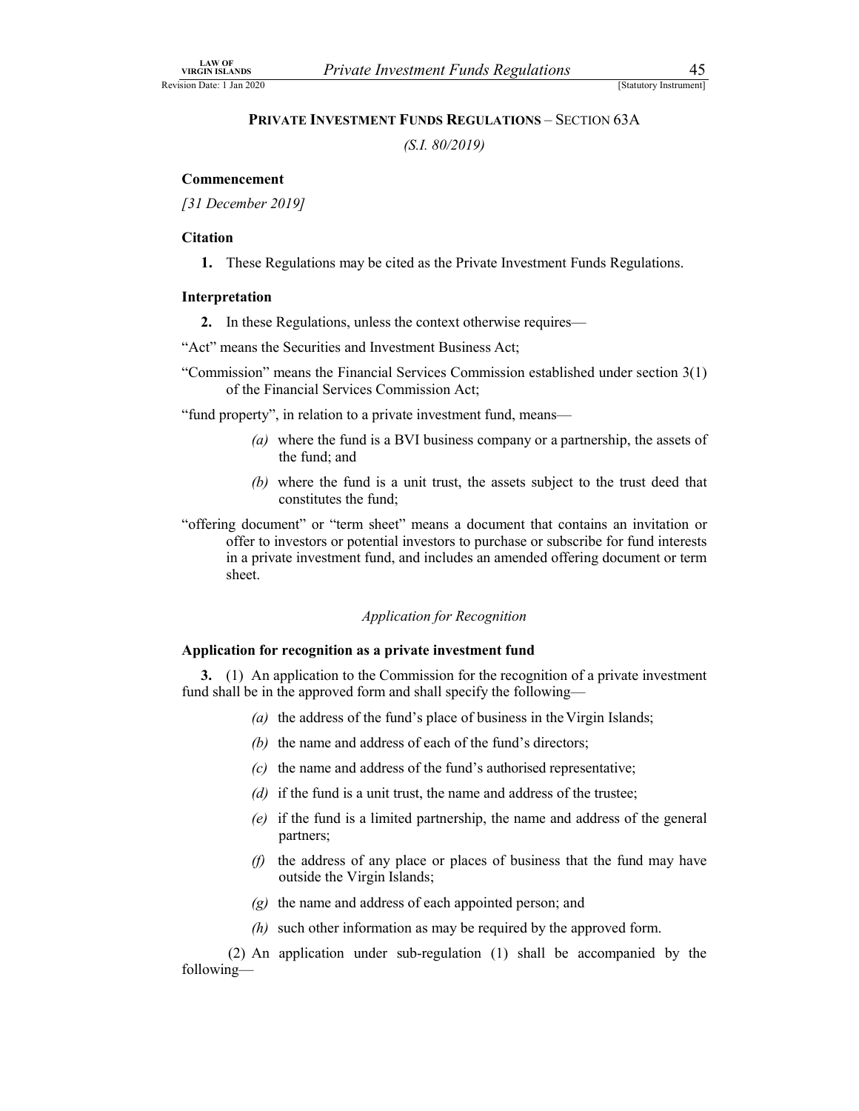# Private Investment Funds Regulations<br>
Statutory Instrument<br>
PRIVATE INVESTMENT FUNDS REGULATIONS – SECTION 63A<br>
(S.I. 80/2019)<br>
Private  $(8.1.80/2019)$ <br>
Private  $(5.1.80/2019)$

(S.I. 80/2019)

# Commencement

[31 December 2019]

# **Citation**

1. These Regulations may be cited as the Private Investment Funds Regulations.

# Interpretation

2. In these Regulations, unless the context otherwise requires—

WHEN THE SECULATIONS - SECTION 63A<br>
(S.I. 80/2019)<br>
TRIVATE INVESTMENT FUNDS REGULATIONS - SECTION 63A<br>
(S.I. 80/2019)<br>
Commencement<br>
[31 December 2019]<br>
Citation<br>
1. These Regulations may be cited as the Private Investme "Commission" means the Financial Services Commission established under section 3(1) of the Financial Services Commission Act;

"fund property", in relation to a private investment fund, means—

- (a) where the fund is a BVI business company or a partnership, the assets of the fund; and
- (b) where the fund is a unit trust, the assets subject to the trust deed that constitutes the fund;
- "offering document" or "term sheet" means a document that contains an invitation or offer to investors or potential investors to purchase or subscribe for fund interests in a private investment fund, and includes an amended offering document or term sheet.

# Application for Recognition

### Application for recognition as a private investment fund

3. (1) An application to the Commission for the recognition of a private investment fund shall be in the approved form and shall specify the following—

- (a) the address of the fund's place of business in the Virgin Islands;
- (b) the name and address of each of the fund's directors;
- $(c)$  the name and address of the fund's authorised representative;
- (d) if the fund is a unit trust, the name and address of the trustee;
- (e) if the fund is a limited partnership, the name and address of the general partners;
- $(f)$  the address of any place or places of business that the fund may have outside the Virgin Islands;
- $(g)$  the name and address of each appointed person; and
- (h) such other information as may be required by the approved form.

Application for Recognition<br>
(1) An application to the Commission for the recognition of a private investment<br>
(1) An application to the Commission for the recognition of a private investment<br>
(a) the address of the fund' following—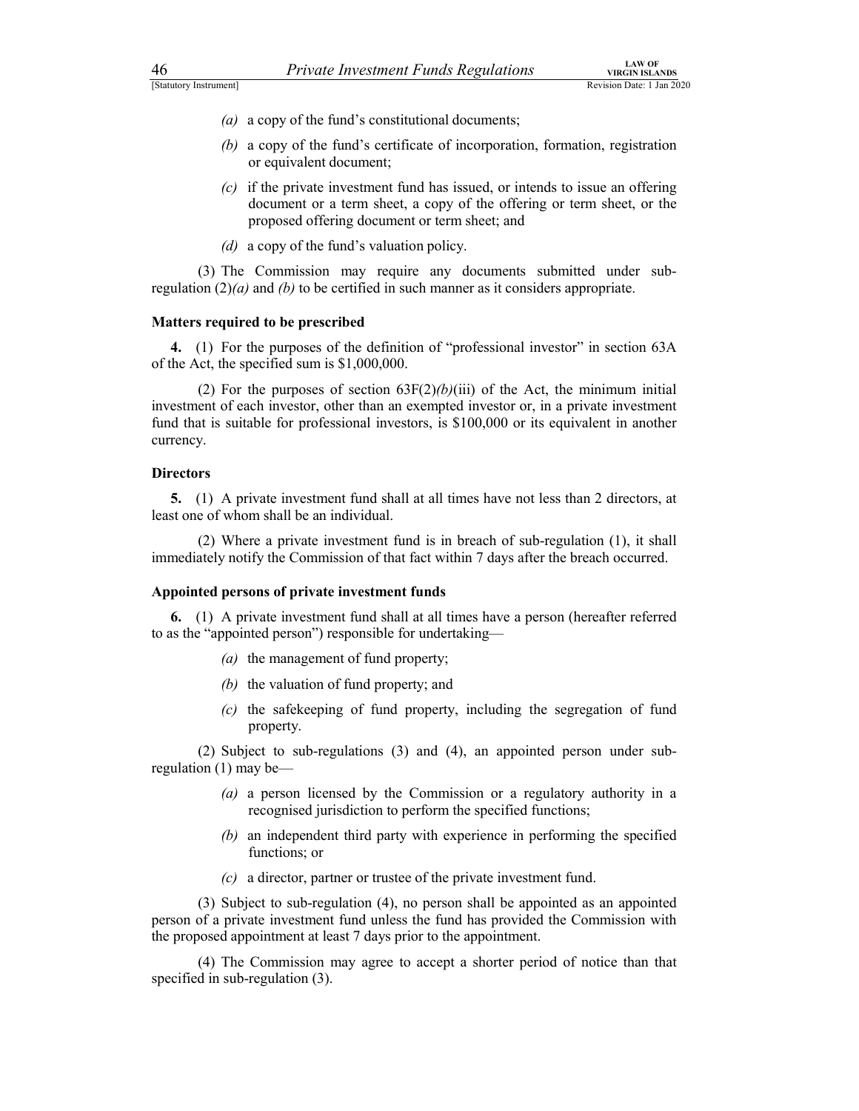- (a) a copy of the fund's constitutional documents;
- (b) a copy of the fund's certificate of incorporation, formation, registration or equivalent document;
- $(c)$  if the private investment fund has issued, or intends to issue an offering document or a term sheet, a copy of the offering or term sheet, or the proposed offering document or term sheet; and **Example 11**<br> **Example 11**<br> **Example 11**<br> **Example 11**<br> **Example 11**<br> **Example 11**<br> **Example 11**<br> **Example 12**<br> **Example 12**<br> **Example 12**<br> **Example 12**<br> **Example 12**<br> **Example 12**<br> **Example 12**<br> **Example 12**<br> **Example 12** 
	- (d) a copy of the fund's valuation policy.

regulation  $(2)(a)$  and  $(b)$  to be certified in such manner as it considers appropriate.

### Matters required to be prescribed

4. (1) For the purposes of the definition of "professional investor" in section 63A of the Act, the specified sum is \$1,000,000.

**EXECT THE SECTE CONSTRANS CONSTRANS CONSTRANS CONSTRANS (2)** a copy of the fund's constitutional documents;<br>
(b) a copy of the fund's constitutional documents;<br>
(b) a copy of the fund's constitutional documents;<br>
(c) if investment of each investor, other than an exempted investor or, in a private investment fund that is suitable for professional investors, is \$100,000 or its equivalent in another currency. (c) if the private investment fund has issued, or intends to issue an offering<br>document or a term sheet, a copy of the offering of remofines proposed offering document or term sheet; and<br>(d) a copy of the fund's valuation (2) For the purposes of section 65<sup>F</sup>(2)/0/(II) of the Act, the mummum initial<br>ent of each investor, other than an exempted investor or, in a private investment<br>it is suitable for professional investors, is \$100,000 or it

### **Directors**

5. (1) A private investment fund shall at all times have not less than 2 directors, at least one of whom shall be an individual.

immediately notify the Commission of that fact within 7 days after the breach occurred.

### Appointed persons of private investment funds

6. (1) A private investment fund shall at all times have a person (hereafter referred to as the "appointed person") responsible for undertaking—

- $(a)$  the management of fund property;
- (b) the valuation of fund property; and
- (c) the safekeeping of fund property, including the segregation of fund property.

regulation (1) may be—

- (a) a person licensed by the Commission or a regulatory authority in a recognised jurisdiction to perform the specified functions;
- (b) an independent third party with experience in performing the specified functions; or
- (c) a director, partner or trustee of the private investment fund.

(2) Where a pnvate investment tund is in breach of sub-regulation (1), it shall<br>ately notify the Commission of that fact within 7 days after the breach occurred.<br>fed persons of private investment funds<br>(1) A private inves person of a private investment fund unless the fund has provided the Commission with the proposed appointment at least 7 days prior to the appointment. (1) A private investment fund shall at all times have a person (hereafter referred<br>
"appointed person") responsible for undertaking—<br>
(a) the valuation of fund property;<br>
(b) the valuation of fund property;<br>
(c) the safek

specified in sub-regulation (3).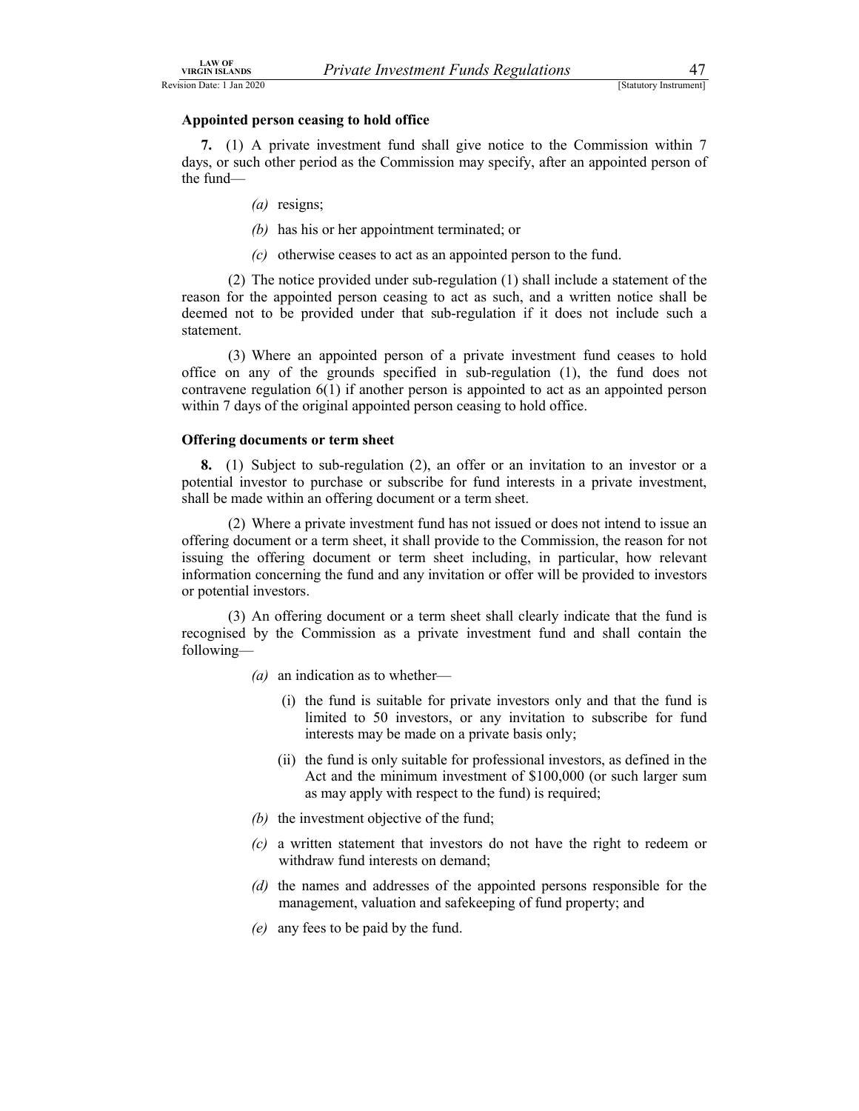# Appointed person ceasing to hold office

7. (1) A private investment fund shall give notice to the Commission within 7 days, or such other period as the Commission may specify, after an appointed person of the fund—

- (a) resigns;
- (b) has his or her appointment terminated; or
- (c) otherwise ceases to act as an appointed person to the fund.

(2) The notice provided under that sub-regulations<br>
(2) Sucure increasing to **hold office**<br>
(1) A private investment fund shall give notice to the Commission within 7<br>
such other period as the Commission may specify, afte reason for the appointed person ceasing to act as such, and a written notice shall be deemed not to be provided under that sub-regulation if it does not include such a statement.

From the anti-<br>
(3) Marting the state investment funds Regulations<br>
(3) Shancey Instructed<br>
(4) A private investment fund shall give notice to the Commission within 7<br>
(3) A private investment fund shall give notice to th office on any of the grounds specified in sub-regulation (1), the fund does not contravene regulation 6(1) if another person is appointed to act as an appointed person within 7 days of the original appointed person ceasing to hold office.

# Offering documents or term sheet

8. (1) Subject to sub-regulation (2), an offer or an invitation to an investor or a potential investor to purchase or subscribe for fund interests in a private investment, shall be made within an offering document or a term sheet.

such other period as the Commission may specity, after an appointed person of<br>  $(a)$  resigns;<br>
(b) has his or her appointment terminated; or<br>  $(c)$  otherwise ceases to act as an appointed person to the fund.<br>  $(2)$  The noti offering document or a term sheet, it shall provide to the Commission, the reason for not issuing the offering document or term sheet including, in particular, how relevant information concerning the fund and any invitation or offer will be provided to investors or potential investors. (c) otherwise ceases to act as an appointed person to the fund.<br>(2) The notice provided under sub-regulation (1) shall include a statement of the for-the appointed person ceasing to act as such, and a written notice shall e an appointed person of a private investment fund ceases to hold<br>of the grounds specified in sub-regulation (1), the fund does not<br>ation 6(1) if another preson is appointed to act as an appointed person<br>the original appoi (i) the original appointed person ceasing to hold office.<br> **Example 15 and the fund investor of the fund interests** in a private investment, to to purchase or subscribe for fund interests in a private investment, this in t

recognised by the Commission as a private investment fund and shall contain the following—

- $(a)$  an indication as to whether
	- limited to 50 investors, or any invitation to subscribe for fund interests may be made on a private basis only;
	- Act and the minimum investment of \$100,000 (or such larger sum as may apply with respect to the fund) is required;
- (b) the investment objective of the fund;
- (c) a written statement that investors do not have the right to redeem or withdraw fund interests on demand;
- (d) the names and addresses of the appointed persons responsible for the management, valuation and safekeeping of fund property; and
- (e) any fees to be paid by the fund.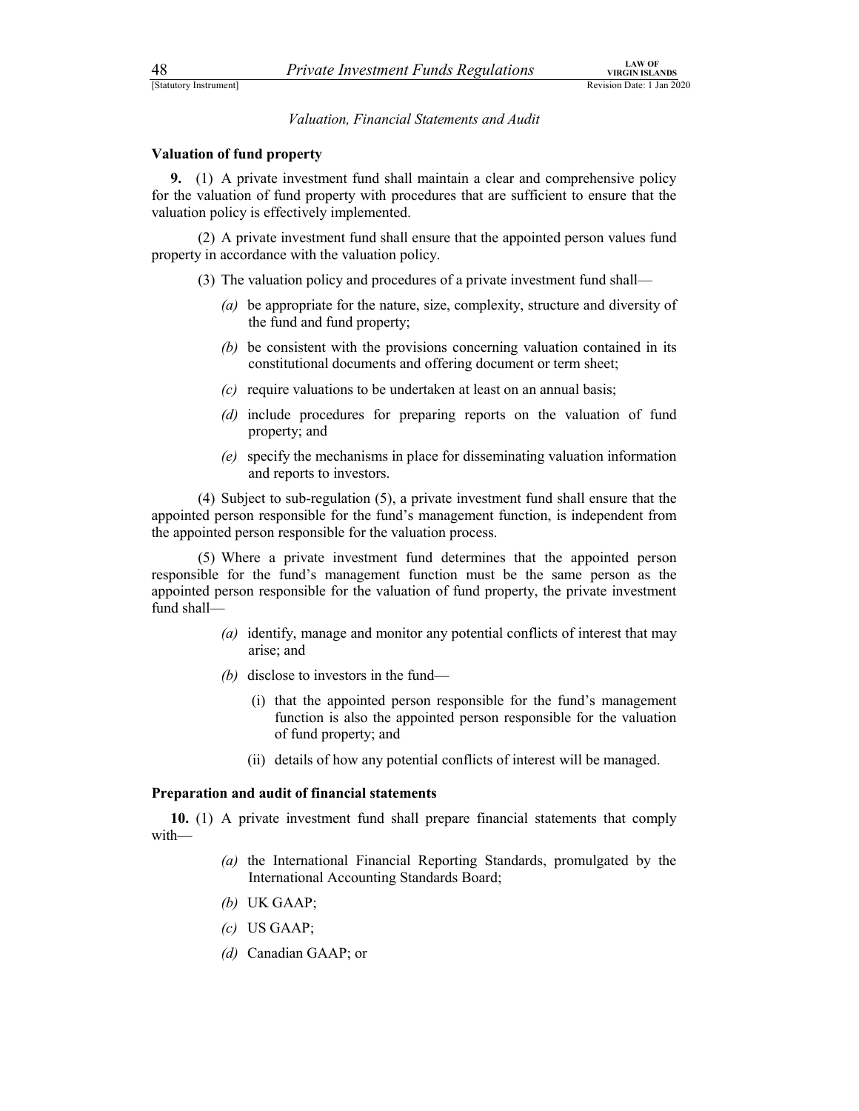Valuation, Financial Statements and Audit

### Valuation of fund property

9. (1) A private investment fund shall maintain a clear and comprehensive policy for the valuation of fund property with procedures that are sufficient to ensure that the valuation policy is effectively implemented. **Example 12** A private Investment Funds Regulations<br> **Existen Date:** 1 Jan 2020<br> **Existion Date:** 1 Jan 2020<br> **Caluation, Financial Statements and Audit**<br> **on of fund property**<br>
(1) A private investment fund shall maintai **Example 11** Private Investment Funds Regulations<br>
SEC TREAT TREAT TREAT TREAT TREAT TREAT TREAT TREAT TREAT TREAT TREAT TREAT TREAT TREAT TREAT TREAT TREAT TREAT TREAT TREAT TREAT TREAT TREAT THE A private investment fun (1) A private investment fund shall maintain a clear and comprehensive policy<br>valuation of fund property with procedures that are sufficient to ensure that the<br>prolicy is effectively implemented.<br>(2) A private investment

property in accordance with the valuation policy.

- - (a) be appropriate for the nature, size, complexity, structure and diversity of the fund and fund property;
	- (b) be consistent with the provisions concerning valuation contained in its constitutional documents and offering document or term sheet;
	- $(c)$  require valuations to be undertaken at least on an annual basis;
	- (d) include procedures for preparing reports on the valuation of fund property; and
	- (e) specify the mechanisms in place for disseminating valuation information and reports to investors.

appointed person responsible for the fund's management function, is independent from the appointed person responsible for the valuation process.

walutation of lund property with procedures that are sultricent to ensure that the<br>a policy is effectively implemented.<br>(2) A private investment fund shall ensure that the appointed person values fund<br>in accordance with t responsible for the fund's management function must be the same person as the appointed person responsible for the valuation of fund property, the private investment fund shall be consistent with the provisions concerning valuation contained in its<br>constitutional documents and offering document or term sheet;<br>equive valuations to be undertaken at least on an annual basis;<br>melvel procedures for pr include procedures for preparing reports on the valuation of fund<br>property; and<br>specify the mechanisms in place for disseminating valuation information<br>and reports to investors.<br>et to sub-regulation (5), a private investme

- (a) identify, manage and monitor any potential conflicts of interest that may arise; and
- (b) disclose to investors in the fund
	- function is also the appointed person responsible for the valuation of fund property; and
	-

### Preparation and audit of financial statements

10. (1) A private investment fund shall prepare financial statements that comply with—

- (a) the International Financial Reporting Standards, promulgated by the International Accounting Standards Board;
- (b) UK GAAP;
- (c) US GAAP;
- (d) Canadian GAAP; or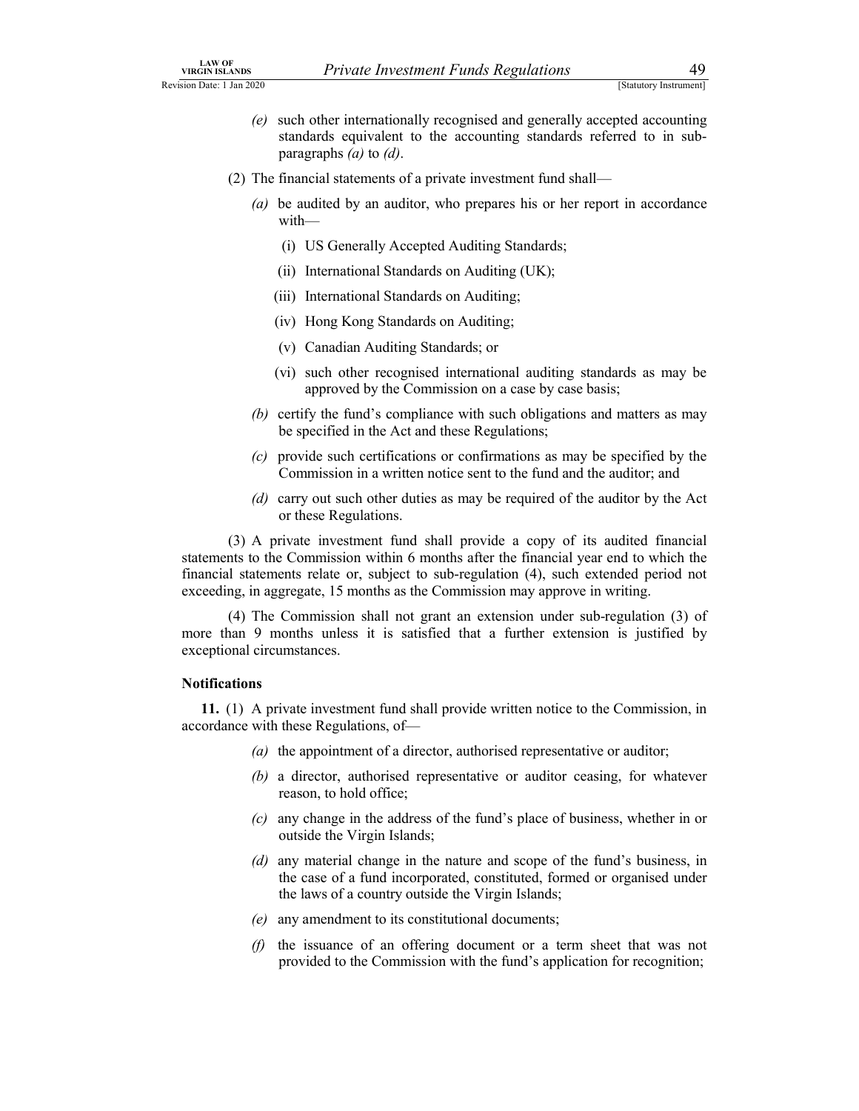- (e) such other internationally recognised and generally accepted accounting standards equivalent to the accounting standards referred to in subparallel and the financial statements of a private investment fund shall and generally accepted accounting standards equivalent to the accounting standards referred to in sub-<br>paragraphs (*a*) to (*d*).<br>(2) The financial Private Investment Funds Regulations 49<br>
[Statutory Instrument]<br>
uuch other internationally recognised and generally accepted accounting<br>
standards equivalent to the accounting standards referred to in sub-<br>
anancial state Fivate Investment Funds Regulations<br>
(Sunttoy Instrument)<br>
such other internationally recognised and generally accepted accounting<br>
standards equivalent to the accounting standards referred to in sub-<br>
paragraphs (*a*) to Private Investment Funds Regulations<br>
(Statutory Instrument]<br>
such other internationally recognised and generally accepted accounting<br>
standards equivalent to the accounting standards referred to in sub-<br>
paragraphs (*a*) **Example 11** Private *Investment Funds Regulations* 149<br>
[Staturoy Instrument]<br>
such other internationally recognised and generally accepted accounting<br>
standards equivalent to the accounting standards referred to in sub-**Example 12**<br> **Example 11**<br> **Example 12**<br> **Example 12**<br> **EXECUTE:** The accounting standards referred to in sub-<br>
paragraphs (a) to (d).<br> **Example 13** to (d).<br> **Example 13** to (d).<br> **Example 13** to (d).<br> **Example 13** to (d **Example 12**<br> **Example 18**<br> **Example 19**<br> **Example 19**<br> **Example 19**<br> **Example 18**<br> **Example 5**<br> **Example 5**<br> **Example 5**<br> **Example 5**<br> **Example 5**<br> **Example 5**<br> **Example 5**<br> **Example 18**<br> **Example 18**<br> **Example 18**<br> **Exa**
- - (a) be audited by an auditor, who prepares his or her report in accordance with—
		-
		-
		-
		-
		-
		- approved by the Commission on a case by case basis;
	- (b) certify the fund's compliance with such obligations and matters as may be specified in the Act and these Regulations;
	- (c) provide such certifications or confirmations as may be specified by the Commission in a written notice sent to the fund and the auditor; and
	- (d) carry out such other duties as may be required of the auditor by the Act or these Regulations.

(2) Ihe Imancial statements of a private investment fund shall—<br>
(a) be addited by an auditor, who prepares his or her report in accordance<br>
with—<br>
(i) US Generally Accepted Auditing Standards;<br>
(ii) International Standar statements to the Commission within 6 months after the financial year end to which the financial statements relate or, subject to sub-regulation (4), such extended period not exceeding, in aggregate, 15 months as the Commission may approve in writing. (ii) International Standards on Auditing (UK);<br>
(iii) International Standards on Auditing;<br>
(iv) Hong Kong Standards on Auditing;<br>
(v) Canadian Auditing Standards; or<br>
(v) such other recognised international auditing stan

more than 9 months unless it is satisfied that a further extension is justified by exceptional circumstances.

### Notifications

11. (1) A private investment fund shall provide written notice to the Commission, in accordance with these Regulations, of—

- (a) the appointment of a director, authorised representative or auditor;
- (b) a director, authorised representative or auditor ceasing, for whatever reason, to hold office;
- (c) any change in the address of the fund's place of business, whether in or outside the Virgin Islands;
- (d) any material change in the nature and scope of the fund's business, in the case of a fund incorporated, constituted, formed or organised under the laws of a country outside the Virgin Islands;
- (e) any amendment to its constitutional documents;
- $(f)$  the issuance of an offering document or a term sheet that was not provided to the Commission with the fund's application for recognition;